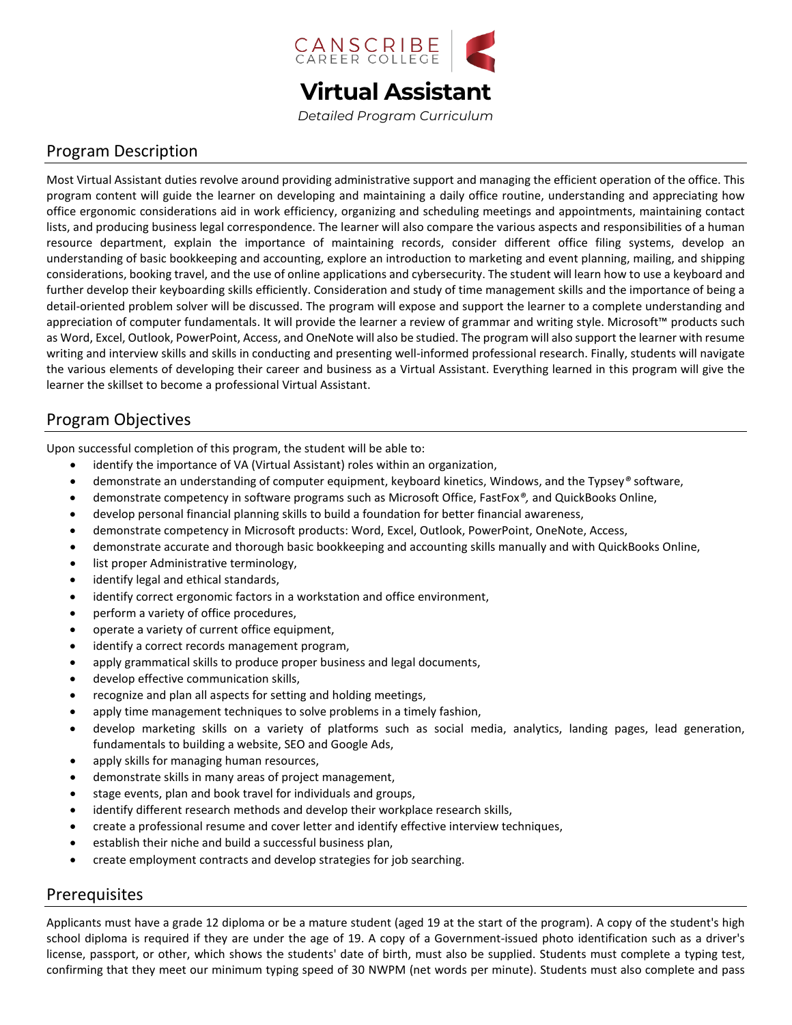

*Detailed Program Curriculum*

## Program Description

Most Virtual Assistant duties revolve around providing administrative support and managing the efficient operation of the office. This program content will guide the learner on developing and maintaining a daily office routine, understanding and appreciating how office ergonomic considerations aid in work efficiency, organizing and scheduling meetings and appointments, maintaining contact lists, and producing business legal correspondence. The learner will also compare the various aspects and responsibilities of a human resource department, explain the importance of maintaining records, consider different office filing systems, develop an understanding of basic bookkeeping and accounting, explore an introduction to marketing and event planning, mailing, and shipping considerations, booking travel, and the use of online applications and cybersecurity. The student will learn how to use a keyboard and further develop their keyboarding skills efficiently. Consideration and study of time management skills and the importance of being a detail-oriented problem solver will be discussed. The program will expose and support the learner to a complete understanding and appreciation of computer fundamentals. It will provide the learner a review of grammar and writing style. Microsoft™ products such as Word, Excel, Outlook, PowerPoint, Access, and OneNote will also be studied. The program will also support the learner with resume writing and interview skills and skills in conducting and presenting well-informed professional research. Finally, students will navigate the various elements of developing their career and business as a Virtual Assistant. Everything learned in this program will give the learner the skillset to become a professional Virtual Assistant.

## Program Objectives

Upon successful completion of this program, the student will be able to:

- identify the importance of VA (Virtual Assistant) roles within an organization,
- demonstrate an understanding of computer equipment, keyboard kinetics, Windows, and the Typsey*®* software,
- demonstrate competency in software programs such as Microsoft Office, FastFox*®,* and QuickBooks Online,
- develop personal financial planning skills to build a foundation for better financial awareness,
- demonstrate competency in Microsoft products: Word, Excel, Outlook, PowerPoint, OneNote, Access,
- demonstrate accurate and thorough basic bookkeeping and accounting skills manually and with QuickBooks Online,
- list proper Administrative terminology,
- identify legal and ethical standards,
- identify correct ergonomic factors in a workstation and office environment,
- perform a variety of office procedures,
- operate a variety of current office equipment,
- identify a correct records management program,
- apply grammatical skills to produce proper business and legal documents,
- develop effective communication skills,
- recognize and plan all aspects for setting and holding meetings,
- apply time management techniques to solve problems in a timely fashion,
- develop marketing skills on a variety of platforms such as social media, analytics, landing pages, lead generation, fundamentals to building a website, SEO and Google Ads,
- apply skills for managing human resources,
- demonstrate skills in many areas of project management,
- stage events, plan and book travel for individuals and groups,
- identify different research methods and develop their workplace research skills,
- create a professional resume and cover letter and identify effective interview techniques,
- establish their niche and build a successful business plan,
- create employment contracts and develop strategies for job searching.

### Prerequisites

Applicants must have a grade 12 diploma or be a mature student (aged 19 at the start of the program). A copy of the student's high school diploma is required if they are under the age of 19. A copy of a Government-issued photo identification such as a driver's license, passport, or other, which shows the students' date of birth, must also be supplied. Students must complete a typing test, confirming that they meet our minimum typing speed of 30 NWPM (net words per minute). Students must also complete and pass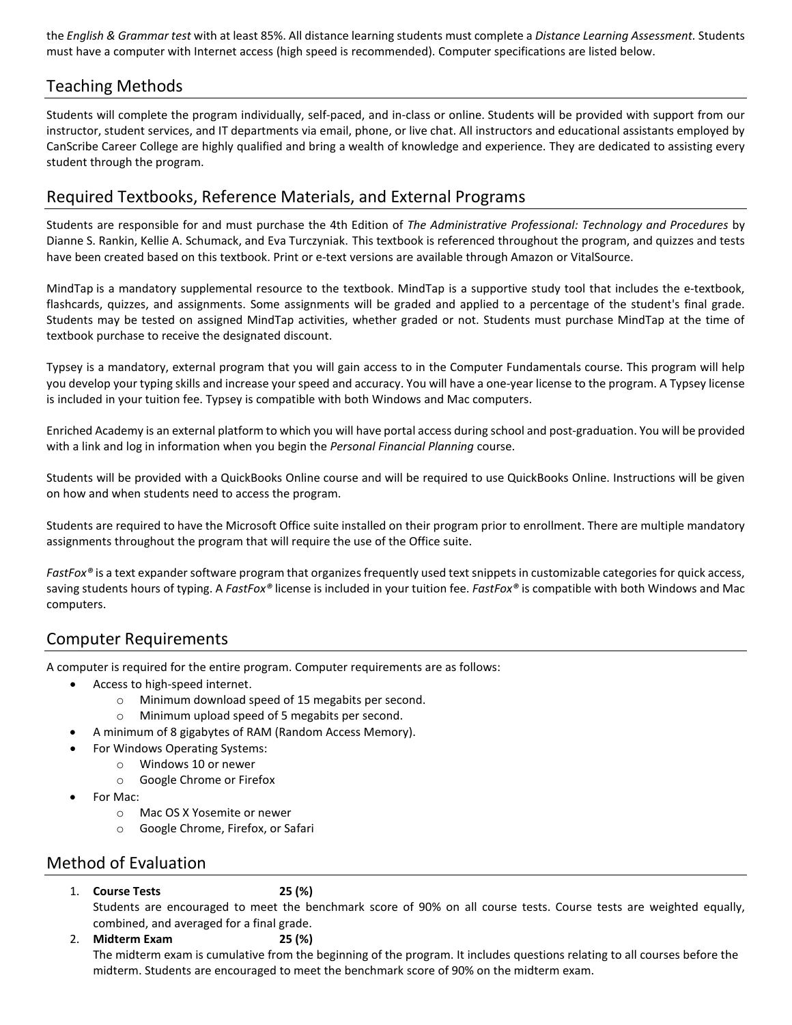the *English & Grammar test* with at least 85%. All distance learning students must complete a *Distance Learning Assessment.* Students must have a computer with Internet access (high speed is recommended). Computer specifications are listed below.

## Teaching Methods

Students will complete the program individually, self-paced, and in-class or online. Students will be provided with support from our instructor, student services, and IT departments via email, phone, or live chat. All instructors and educational assistants employed by CanScribe Career College are highly qualified and bring a wealth of knowledge and experience. They are dedicated to assisting every student through the program.

## Required Textbooks, Reference Materials, and External Programs

Students are responsible for and must purchase the 4th Edition of *The Administrative Professional: Technology and Procedures* by Dianne S. Rankin, Kellie A. Schumack, and Eva Turczyniak. This textbook is referenced throughout the program, and quizzes and tests have been created based on this textbook. Print or e-text versions are available through Amazon or VitalSource.

MindTap is a mandatory supplemental resource to the textbook. MindTap is a supportive study tool that includes the e-textbook, flashcards, quizzes, and assignments. Some assignments will be graded and applied to a percentage of the student's final grade. Students may be tested on assigned MindTap activities, whether graded or not. Students must purchase MindTap at the time of textbook purchase to receive the designated discount.

Typsey is a mandatory, external program that you will gain access to in the Computer Fundamentals course. This program will help you develop your typing skills and increase your speed and accuracy. You will have a one-year license to the program. A Typsey license is included in your tuition fee. Typsey is compatible with both Windows and Mac computers.

Enriched Academy is an external platform to which you will have portal access during school and post-graduation. You will be provided with a link and log in information when you begin the *Personal Financial Planning* course.

Students will be provided with a QuickBooks Online course and will be required to use QuickBooks Online. Instructions will be given on how and when students need to access the program.

Students are required to have the Microsoft Office suite installed on their program prior to enrollment. There are multiple mandatory assignments throughout the program that will require the use of the Office suite.

*FastFox®* is a text expander software program that organizes frequently used text snippets in customizable categories for quick access, saving students hours of typing. A *FastFox®* license is included in your tuition fee. *FastFox®* is compatible with both Windows and Mac computers.

### Computer Requirements

A computer is required for the entire program. Computer requirements are as follows:

- Access to high-speed internet.
	- o Minimum download speed of 15 megabits per second.
	- o Minimum upload speed of 5 megabits per second.
- A minimum of 8 gigabytes of RAM (Random Access Memory).
- For Windows Operating Systems:
- o Windows 10 or newer
	- o Google Chrome or Firefox
- For Mac:
	- o Mac OS X Yosemite or newer
	- o Google Chrome, Firefox, or Safari

### Method of Evaluation

#### 1. **Course Tests 25 (%)**

Students are encouraged to meet the benchmark score of 90% on all course tests. Course tests are weighted equally, combined, and averaged for a final grade.

2. **Midterm Exam 25 (%)** The midterm exam is cumulative from the beginning of the program. It includes questions relating to all courses before the midterm. Students are encouraged to meet the benchmark score of 90% on the midterm exam.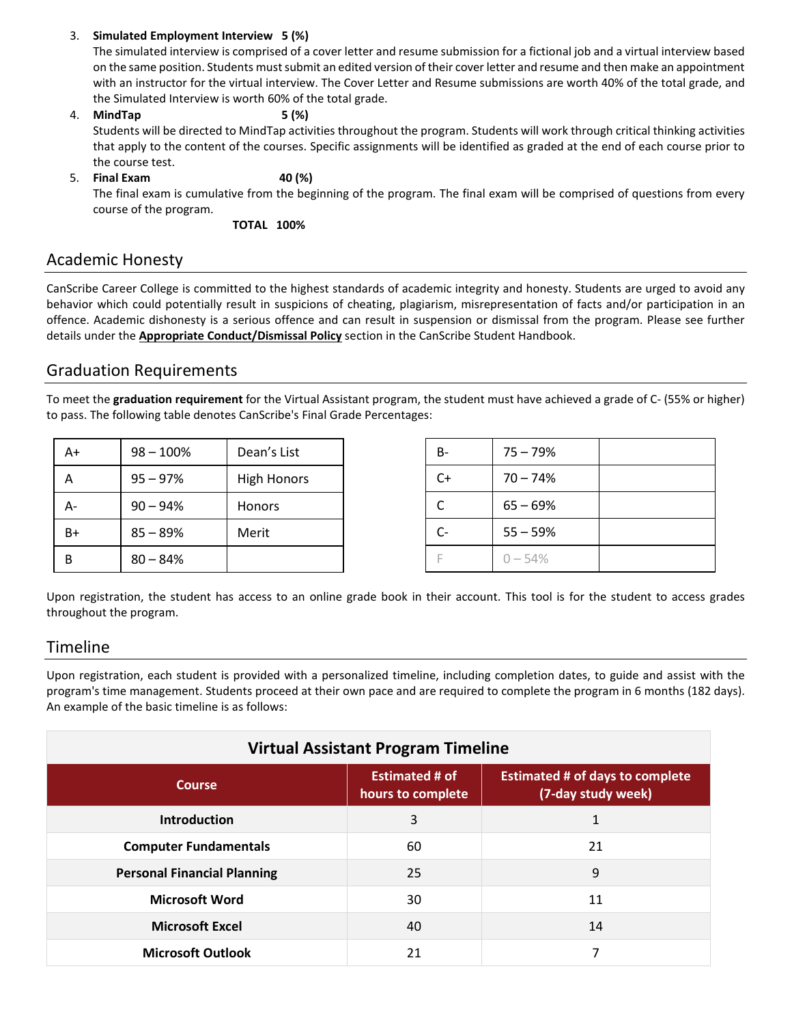#### 3. **Simulated Employment Interview 5 (%)**

The simulated interview is comprised of a cover letter and resume submission for a fictional job and a virtual interview based on the same position. Students must submit an edited version of their cover letter and resume and then make an appointment with an instructor for the virtual interview. The Cover Letter and Resume submissions are worth 40% of the total grade, and the Simulated Interview is worth 60% of the total grade.

# 4. **MindTap 5 (%)**

Students will be directed to MindTap activities throughout the program. Students will work through critical thinking activities that apply to the content of the courses. Specific assignments will be identified as graded at the end of each course prior to the course test.

## 5. **Final Exam 40 (%)**

The final exam is cumulative from the beginning of the program. The final exam will be comprised of questions from every course of the program.

**TOTAL 100%**

### Academic Honesty

CanScribe Career College is committed to the highest standards of academic integrity and honesty. Students are urged to avoid any behavior which could potentially result in suspicions of cheating, plagiarism, misrepresentation of facts and/or participation in an offence. Academic dishonesty is a serious offence and can result in suspension or dismissal from the program. Please see further details under the **Appropriate Conduct/Dismissal Policy** section in the CanScribe Student Handbook.

### Graduation Requirements

To meet the **graduation requirement** for the Virtual Assistant program, the student must have achieved a grade of C- (55% or higher) to pass. The following table denotes CanScribe's Final Grade Percentages:

| A+ | $98 - 100%$ | Dean's List        |
|----|-------------|--------------------|
| А  | $95 - 97%$  | <b>High Honors</b> |
| А- | $90 - 94%$  | Honors             |
| B+ | $85 - 89%$  | Merit              |
| В  | $80 - 84%$  |                    |

| в-    | $75 - 79%$ |  |
|-------|------------|--|
| $C+$  | $70 - 74%$ |  |
| C.    | $65 - 69%$ |  |
| $C -$ | $55 - 59%$ |  |
| F     | $0 - 54%$  |  |

Upon registration, the student has access to an online grade book in their account. This tool is for the student to access grades throughout the program.

### Timeline

Upon registration, each student is provided with a personalized timeline, including completion dates, to guide and assist with the program's time management. Students proceed at their own pace and are required to complete the program in 6 months (182 days). An example of the basic timeline is as follows:

| <b>Virtual Assistant Program Timeline</b> |                                            |                                                              |  |
|-------------------------------------------|--------------------------------------------|--------------------------------------------------------------|--|
| <b>Course</b>                             | <b>Estimated # of</b><br>hours to complete | <b>Estimated # of days to complete</b><br>(7-day study week) |  |
| <b>Introduction</b>                       | 3                                          |                                                              |  |
| <b>Computer Fundamentals</b>              | 60                                         | 21                                                           |  |
| <b>Personal Financial Planning</b>        | 25                                         | 9                                                            |  |
| <b>Microsoft Word</b>                     | 30                                         | 11                                                           |  |
| <b>Microsoft Excel</b>                    | 40                                         | 14                                                           |  |
| <b>Microsoft Outlook</b>                  | 21                                         | 7                                                            |  |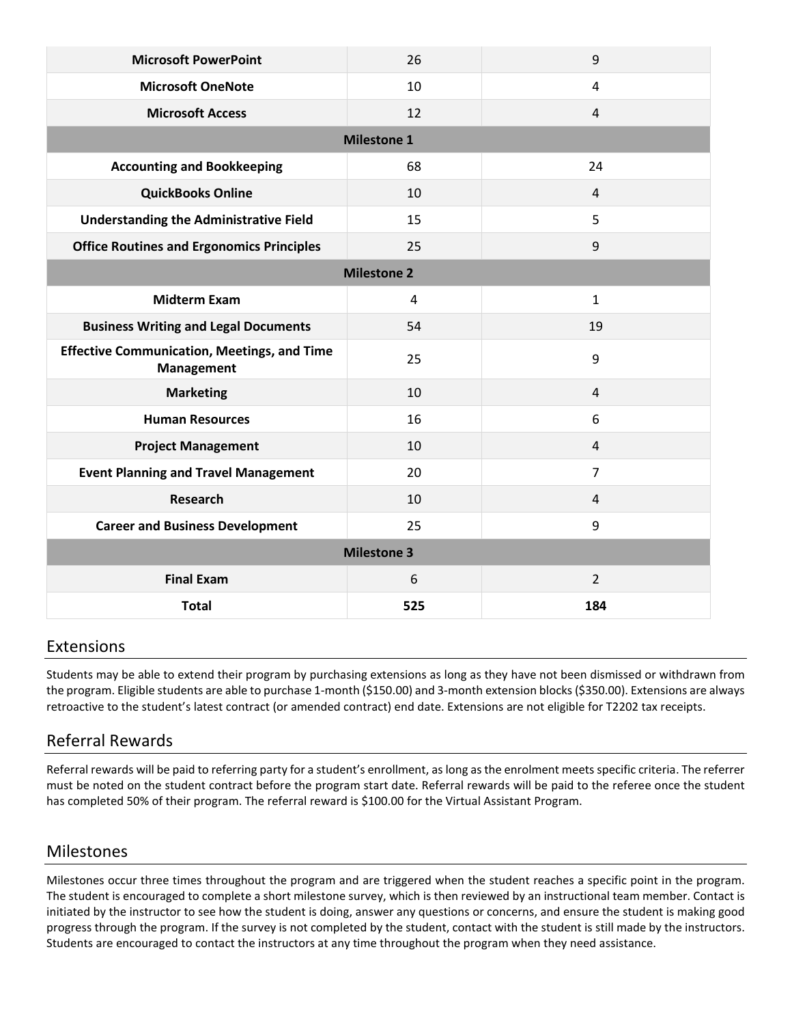| <b>Microsoft PowerPoint</b>                                      | 26                 | 9              |
|------------------------------------------------------------------|--------------------|----------------|
| <b>Microsoft OneNote</b>                                         | 10                 | 4              |
| <b>Microsoft Access</b>                                          | 12                 | $\overline{4}$ |
|                                                                  | <b>Milestone 1</b> |                |
| <b>Accounting and Bookkeeping</b>                                | 68                 | 24             |
| <b>QuickBooks Online</b>                                         | 10                 | $\overline{4}$ |
| <b>Understanding the Administrative Field</b>                    | 15                 | 5              |
| <b>Office Routines and Ergonomics Principles</b>                 | 25                 | 9              |
|                                                                  | <b>Milestone 2</b> |                |
| <b>Midterm Exam</b>                                              | $\overline{4}$     | $\mathbf{1}$   |
| <b>Business Writing and Legal Documents</b>                      | 54                 | 19             |
| <b>Effective Communication, Meetings, and Time</b><br>Management | 25                 | 9              |
| <b>Marketing</b>                                                 | 10                 | $\overline{4}$ |
| <b>Human Resources</b>                                           | 16                 | 6              |
| <b>Project Management</b>                                        | 10                 | $\overline{4}$ |
| <b>Event Planning and Travel Management</b>                      | 20                 | $\overline{7}$ |
| <b>Research</b>                                                  | 10                 | 4              |
| <b>Career and Business Development</b>                           | 25                 | 9              |
| <b>Milestone 3</b>                                               |                    |                |
| <b>Final Exam</b>                                                | 6                  | $\overline{2}$ |
| <b>Total</b>                                                     | 525                | 184            |

### Extensions

Students may be able to extend their program by purchasing extensions as long as they have not been dismissed or withdrawn from the program. Eligible students are able to purchase 1-month (\$150.00) and 3-month extension blocks (\$350.00). Extensions are always retroactive to the student's latest contract (or amended contract) end date. Extensions are not eligible for T2202 tax receipts.

## Referral Rewards

Referral rewards will be paid to referring party for a student's enrollment, as long as the enrolment meets specific criteria. The referrer must be noted on the student contract before the program start date. Referral rewards will be paid to the referee once the student has completed 50% of their program. The referral reward is \$100.00 for the Virtual Assistant Program.

### Milestones

Milestones occur three times throughout the program and are triggered when the student reaches a specific point in the program. The student is encouraged to complete a short milestone survey, which is then reviewed by an instructional team member. Contact is initiated by the instructor to see how the student is doing, answer any questions or concerns, and ensure the student is making good progress through the program. If the survey is not completed by the student, contact with the student is still made by the instructors. Students are encouraged to contact the instructors at any time throughout the program when they need assistance.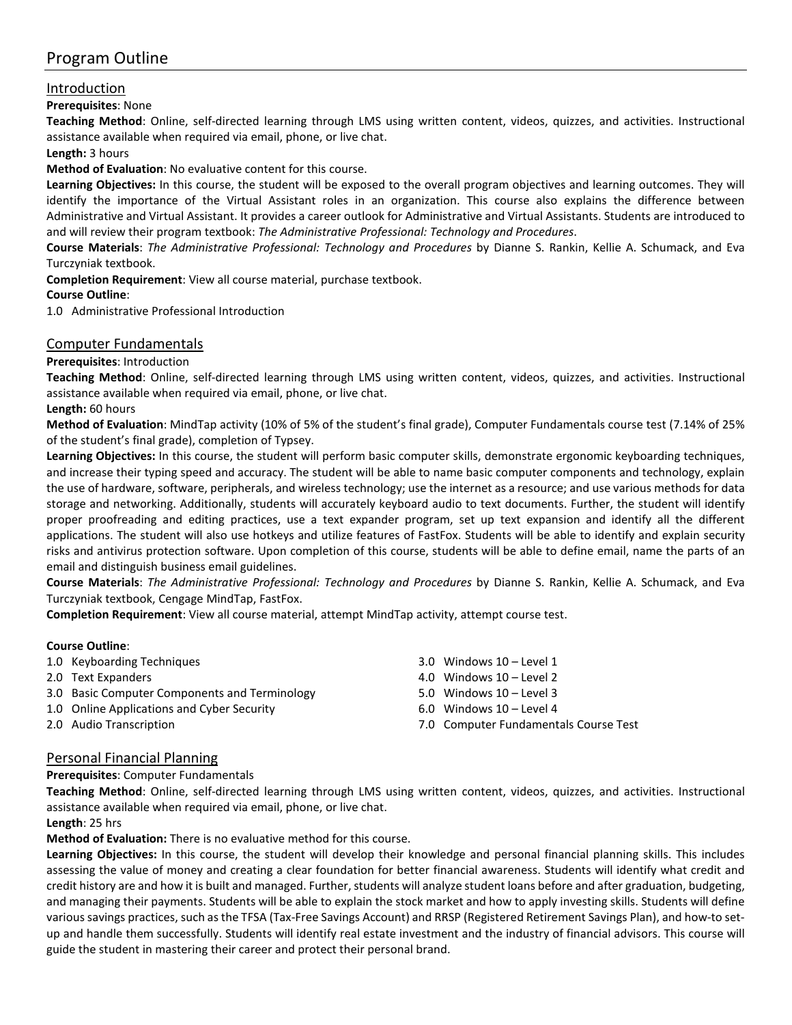## Program Outline

### Introduction

#### **Prerequisites**: None

**Teaching Method**: Online, self-directed learning through LMS using written content, videos, quizzes, and activities. Instructional assistance available when required via email, phone, or live chat.

#### **Length:** 3 hours

#### **Method of Evaluation**: No evaluative content for this course.

**Learning Objectives:** In this course, the student will be exposed to the overall program objectives and learning outcomes. They will identify the importance of the Virtual Assistant roles in an organization. This course also explains the difference between Administrative and Virtual Assistant. It provides a career outlook for Administrative and Virtual Assistants. Students are introduced to and will review their program textbook: *The Administrative Professional: Technology and Procedures*.

**Course Materials**: *The Administrative Professional: Technology and Procedures* by Dianne S. Rankin, Kellie A. Schumack, and Eva Turczyniak textbook.

**Completion Requirement**: View all course material, purchase textbook.

#### **Course Outline**:

1.0 Administrative Professional Introduction

#### Computer Fundamentals

#### **Prerequisites**: Introduction

**Teaching Method**: Online, self-directed learning through LMS using written content, videos, quizzes, and activities. Instructional assistance available when required via email, phone, or live chat.

#### **Length:** 60 hours

**Method of Evaluation**: MindTap activity (10% of 5% of the student's final grade), Computer Fundamentals course test (7.14% of 25% of the student's final grade), completion of Typsey.

**Learning Objectives:** In this course, the student will perform basic computer skills, demonstrate ergonomic keyboarding techniques, and increase their typing speed and accuracy. The student will be able to name basic computer components and technology, explain the use of hardware, software, peripherals, and wireless technology; use the internet as a resource; and use various methods for data storage and networking. Additionally, students will accurately keyboard audio to text documents. Further, the student will identify proper proofreading and editing practices, use a text expander program, set up text expansion and identify all the different applications. The student will also use hotkeys and utilize features of FastFox. Students will be able to identify and explain security risks and antivirus protection software. Upon completion of this course, students will be able to define email, name the parts of an email and distinguish business email guidelines.

**Course Materials**: *The Administrative Professional: Technology and Procedures* by Dianne S. Rankin, Kellie A. Schumack, and Eva Turczyniak textbook, Cengage MindTap, FastFox.

**Completion Requirement**: View all course material, attempt MindTap activity, attempt course test.

#### **Course Outline**:

- 1.0 Keyboarding Techniques
- 2.0 Text Expanders
- 3.0 Basic Computer Components and Terminology
- 1.0 Online Applications and Cyber Security
- 2.0 Audio Transcription
- 3.0 Windows 10 Level 1
- 4.0 Windows 10 Level 2
- 5.0 Windows 10 Level 3
- 6.0 Windows 10 Level 4
- 7.0 Computer Fundamentals Course Test

#### Personal Financial Planning

#### **Prerequisites**: Computer Fundamentals

**Teaching Method**: Online, self-directed learning through LMS using written content, videos, quizzes, and activities. Instructional assistance available when required via email, phone, or live chat.

**Length**: 25 hrs

**Method of Evaluation:** There is no evaluative method for this course.

**Learning Objectives:** In this course, the student will develop their knowledge and personal financial planning skills. This includes assessing the value of money and creating a clear foundation for better financial awareness. Students will identify what credit and credit history are and how it is built and managed. Further, students will analyze student loans before and after graduation, budgeting, and managing their payments. Students will be able to explain the stock market and how to apply investing skills. Students will define various savings practices, such as the TFSA (Tax-Free Savings Account) and RRSP (Registered Retirement Savings Plan), and how-to setup and handle them successfully. Students will identify real estate investment and the industry of financial advisors. This course will guide the student in mastering their career and protect their personal brand.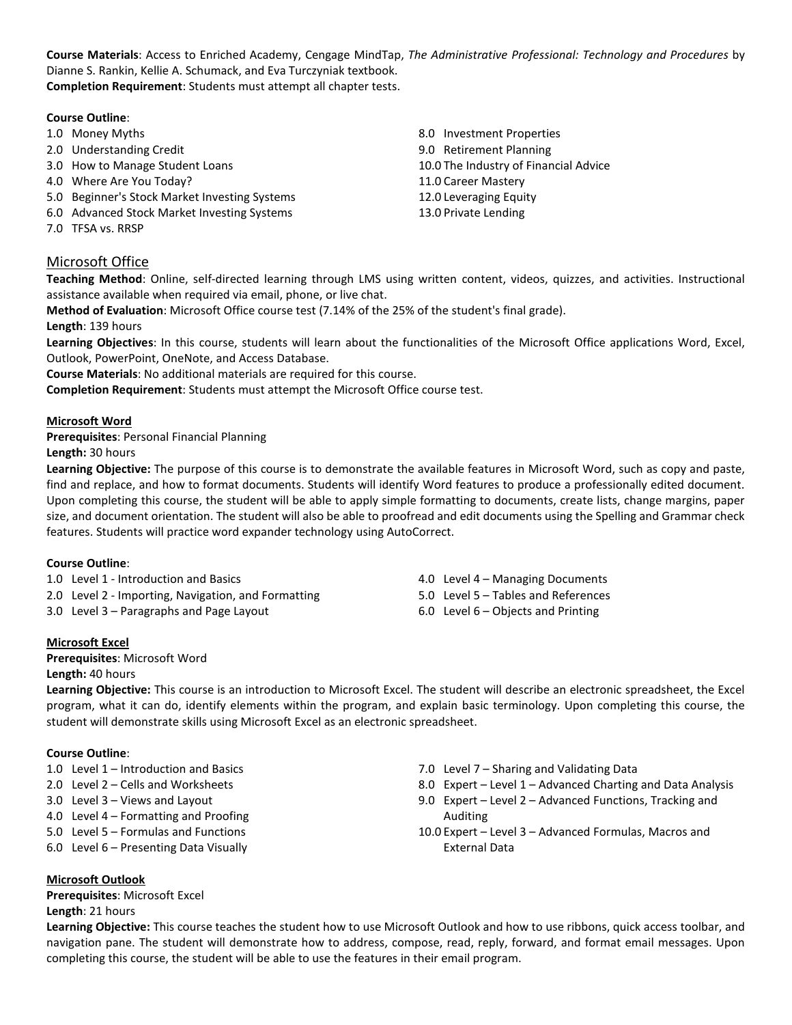**Course Materials**: Access to Enriched Academy, Cengage MindTap, *The Administrative Professional: Technology and Procedures* by Dianne S. Rankin, Kellie A. Schumack, and Eva Turczyniak textbook. **Completion Requirement**: Students must attempt all chapter tests.

| 1.0 Money Myths                               | 8.0 Investment Properties             |
|-----------------------------------------------|---------------------------------------|
| 2.0 Understanding Credit                      | 9.0 Retirement Planning               |
| 3.0 How to Manage Student Loans               | 10.0 The Industry of Financial Advice |
| 4.0 Where Are You Today?                      | 11.0 Career Mastery                   |
| 5.0 Beginner's Stock Market Investing Systems | 12.0 Leveraging Equity                |
| 6.0 Advanced Stock Market Investing Systems   | 13.0 Private Lending                  |
| 7.0 TFSA vs. RRSP                             |                                       |

### Microsoft Office

**Teaching Method**: Online, self-directed learning through LMS using written content, videos, quizzes, and activities. Instructional assistance available when required via email, phone, or live chat.

**Method of Evaluation**: Microsoft Office course test (7.14% of the 25% of the student's final grade).

**Length**: 139 hours

**Learning Objectives**: In this course, students will learn about the functionalities of the Microsoft Office applications Word, Excel, Outlook, PowerPoint, OneNote, and Access Database.

**Course Materials**: No additional materials are required for this course.

**Completion Requirement**: Students must attempt the Microsoft Office course test.

#### **Microsoft Word**

**Prerequisites**: Personal Financial Planning

**Length:** 30 hours

**Learning Objective:** The purpose of this course is to demonstrate the available features in Microsoft Word, such as copy and paste, find and replace, and how to format documents. Students will identify Word features to produce a professionally edited document. Upon completing this course, the student will be able to apply simple formatting to documents, create lists, change margins, paper size, and document orientation. The student will also be able to proofread and edit documents using the Spelling and Grammar check features. Students will practice word expander technology using AutoCorrect.

#### **Course Outline**:

1.0 Level 1 - Introduction and Basics

- 2.0 Level 2 Importing, Navigation, and Formatting
- 3.0 Level 3 Paragraphs and Page Layout
- **Microsoft Excel**

**Prerequisites**: Microsoft Word **Length:** 40 hours

4.0 Level 4 – Managing Documents 5.0 Level 5 – Tables and References

- 
- 6.0 Level 6 Objects and Printing

**Learning Objective:** This course is an introduction to Microsoft Excel. The student will describe an electronic spreadsheet, the Excel program, what it can do, identify elements within the program, and explain basic terminology. Upon completing this course, the student will demonstrate skills using Microsoft Excel as an electronic spreadsheet.

#### **Course Outline**:

- 1.0 Level 1 Introduction and Basics
- 2.0 Level 2 Cells and Worksheets
- 3.0 Level 3 Views and Layout
- 4.0 Level 4 Formatting and Proofing
- 5.0 Level 5 Formulas and Functions
- 6.0 Level 6 Presenting Data Visually
- 7.0 Level 7 Sharing and Validating Data
- 8.0 Expert Level 1 Advanced Charting and Data Analysis
- 9.0 Expert Level 2 Advanced Functions, Tracking and Auditing
- 10.0 Expert Level 3 Advanced Formulas, Macros and External Data

**Microsoft Outlook**

**Prerequisites**: Microsoft Excel **Length**: 21 hours

**Learning Objective:** This course teaches the student how to use Microsoft Outlook and how to use ribbons, quick access toolbar, and navigation pane. The student will demonstrate how to address, compose, read, reply, forward, and format email messages. Upon completing this course, the student will be able to use the features in their email program.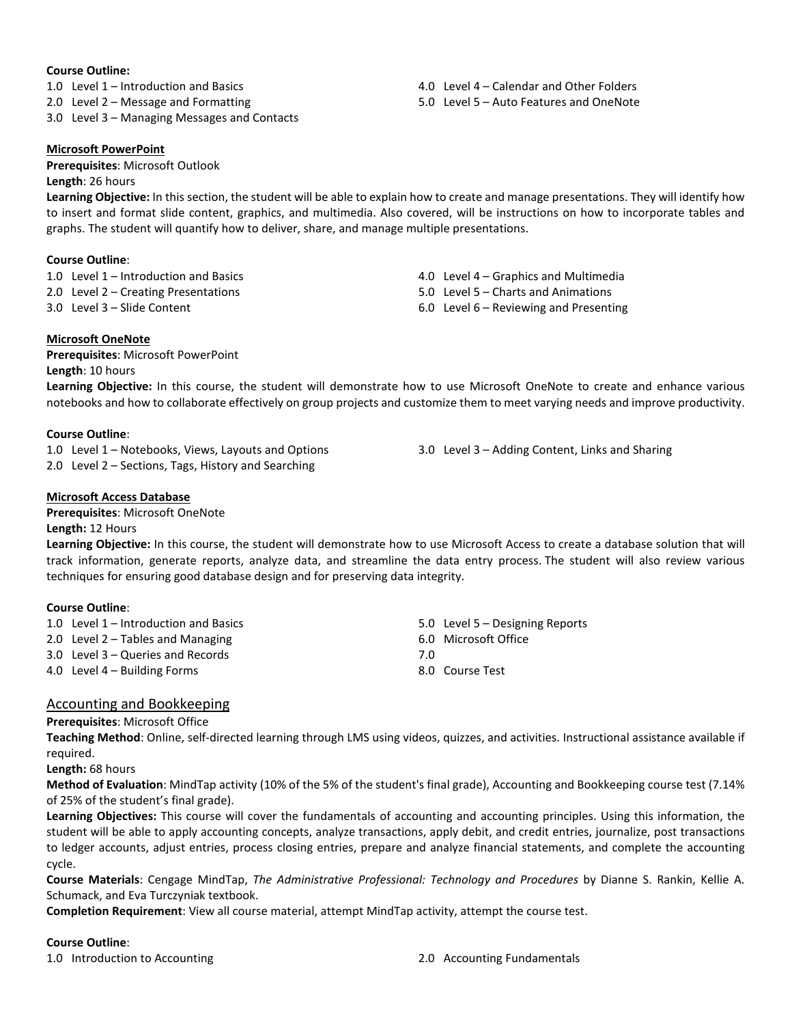#### **Course Outline:**

1.0 Level 1 – Introduction and Basics

- 2.0 Level 2 Message and Formatting
- 3.0 Level 3 Managing Messages and Contacts

#### **Microsoft PowerPoint**

**Prerequisites**: Microsoft Outlook **Length**: 26 hours

**Learning Objective:** In this section, the student will be able to explain how to create and manage presentations. They will identify how to insert and format slide content, graphics, and multimedia. Also covered, will be instructions on how to incorporate tables and graphs. The student will quantify how to deliver, share, and manage multiple presentations.

#### **Course Outline**:

1.0 Level 1 – Introduction and Basics 2.0 Level 2 – Creating Presentations

3.0 Level 3 – Slide Content

- 4.0 Level 4 Graphics and Multimedia
- 5.0 Level 5 Charts and Animations
- 6.0 Level 6 Reviewing and Presenting

**Microsoft OneNote Prerequisites**: Microsoft PowerPoint

#### **Length**: 10 hours

**Learning Objective:** In this course, the student will demonstrate how to use Microsoft OneNote to create and enhance various notebooks and how to collaborate effectively on group projects and customize them to meet varying needs and improve productivity.

#### **Course Outline**:

1.0 Level 1 – Notebooks, Views, Layouts and Options 2.0 Level 2 – Sections, Tags, History and Searching

3.0 Level 3 – Adding Content, Links and Sharing

#### **Microsoft Access Database**

**Prerequisites**: Microsoft OneNote

#### **Length:** 12 Hours

**Learning Objective:** In this course, the student will demonstrate how to use Microsoft Access to create a database solution that will track information, generate reports, analyze data, and streamline the data entry process. The student will also review various techniques for ensuring good database design and for preserving data integrity.

#### **Course Outline**:

| 1.0 Level $1$ – Introduction and Basics |     | 5.0 Level 5 – Designing Reports |
|-----------------------------------------|-----|---------------------------------|
| 2.0 Level $2 -$ Tables and Managing     |     | 6.0 Microsoft Office            |
| 3.0 Level 3 – Queries and Records       | 7 O |                                 |
| 4.0 Level 4 – Building Forms            |     | 8.0 Course Test                 |

#### Accounting and Bookkeeping

#### **Prerequisites**: Microsoft Office

**Teaching Method**: Online, self-directed learning through LMS using videos, quizzes, and activities. Instructional assistance available if required.

**Length:** 68 hours

**Method of Evaluation**: MindTap activity (10% of the 5% of the student's final grade), Accounting and Bookkeeping course test (7.14% of 25% of the student's final grade).

**Learning Objectives:** This course will cover the fundamentals of accounting and accounting principles. Using this information, the student will be able to apply accounting concepts, analyze transactions, apply debit, and credit entries, journalize, post transactions to ledger accounts, adjust entries, process closing entries, prepare and analyze financial statements, and complete the accounting cycle.

**Course Materials**: Cengage MindTap, *The Administrative Professional: Technology and Procedures* by Dianne S. Rankin, Kellie A. Schumack, and Eva Turczyniak textbook.

**Completion Requirement**: View all course material, attempt MindTap activity, attempt the course test.

#### **Course Outline**:

1.0 Introduction to Accounting 2.0 Accounting Fundamentals

4.0 Level 4 – Calendar and Other Folders

5.0 Level 5 – Auto Features and OneNote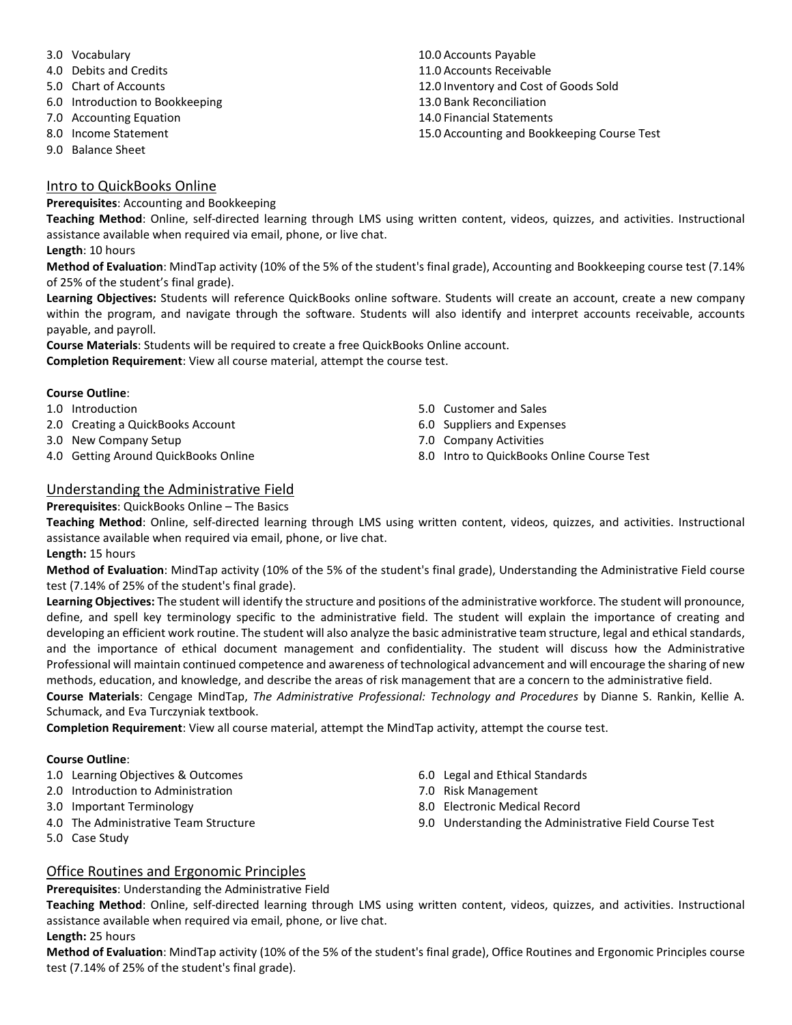- 3.0 Vocabulary
- 4.0 Debits and Credits
- 5.0 Chart of Accounts
- 6.0 Introduction to Bookkeeping
- 7.0 Accounting Equation
- 8.0 Income Statement
- 9.0 Balance Sheet

#### Intro to QuickBooks Online

**Prerequisites**: Accounting and Bookkeeping

**Teaching Method**: Online, self-directed learning through LMS using written content, videos, quizzes, and activities. Instructional assistance available when required via email, phone, or live chat.

#### **Length**: 10 hours

**Method of Evaluation**: MindTap activity (10% of the 5% of the student's final grade), Accounting and Bookkeeping course test (7.14% of 25% of the student's final grade).

**Learning Objectives:** Students will reference QuickBooks online software. Students will create an account, create a new company within the program, and navigate through the software. Students will also identify and interpret accounts receivable, accounts payable, and payroll.

**Course Materials**: Students will be required to create a free QuickBooks Online account. **Completion Requirement**: View all course material, attempt the course test.

#### **Course Outline**:

- 1.0 Introduction
- 2.0 Creating a QuickBooks Account
- 3.0 New Company Setup
- 4.0 Getting Around QuickBooks Online
- 5.0 Customer and Sales
- 6.0 Suppliers and Expenses
- 7.0 Company Activities
- 8.0 Intro to QuickBooks Online Course Test

### Understanding the Administrative Field

**Prerequisites**: QuickBooks Online – The Basics

**Teaching Method**: Online, self-directed learning through LMS using written content, videos, quizzes, and activities. Instructional assistance available when required via email, phone, or live chat.

#### **Length:** 15 hours

**Method of Evaluation**: MindTap activity (10% of the 5% of the student's final grade), Understanding the Administrative Field course test (7.14% of 25% of the student's final grade).

**Learning Objectives:** The student will identify the structure and positions of the administrative workforce. The student will pronounce, define, and spell key terminology specific to the administrative field. The student will explain the importance of creating and developing an efficient work routine. The student will also analyze the basic administrative team structure, legal and ethical standards, and the importance of ethical document management and confidentiality. The student will discuss how the Administrative Professional will maintain continued competence and awareness of technological advancement and will encourage the sharing of new methods, education, and knowledge, and describe the areas of risk management that are a concern to the administrative field.

**Course Materials**: Cengage MindTap, *The Administrative Professional: Technology and Procedures* by Dianne S. Rankin, Kellie A. Schumack, and Eva Turczyniak textbook.

**Completion Requirement**: View all course material, attempt the MindTap activity, attempt the course test.

#### **Course Outline**:

- 1.0 Learning Objectives & Outcomes
- 2.0 Introduction to Administration
- 3.0 Important Terminology
- 4.0 The Administrative Team Structure
- 5.0 Case Study
- 6.0 Legal and Ethical Standards
- 7.0 Risk Management
- 8.0 Electronic Medical Record
- 9.0 Understanding the Administrative Field Course Test

### Office Routines and Ergonomic Principles

**Prerequisites**: Understanding the Administrative Field

**Teaching Method**: Online, self-directed learning through LMS using written content, videos, quizzes, and activities. Instructional assistance available when required via email, phone, or live chat.

#### **Length:** 25 hours

**Method of Evaluation**: MindTap activity (10% of the 5% of the student's final grade), Office Routines and Ergonomic Principles course test (7.14% of 25% of the student's final grade).

10.0 Accounts Payable 11.0 Accounts Receivable 12.0 Inventory and Cost of Goods Sold 13.0 Bank Reconciliation 14.0 Financial Statements 15.0 Accounting and Bookkeeping Course Test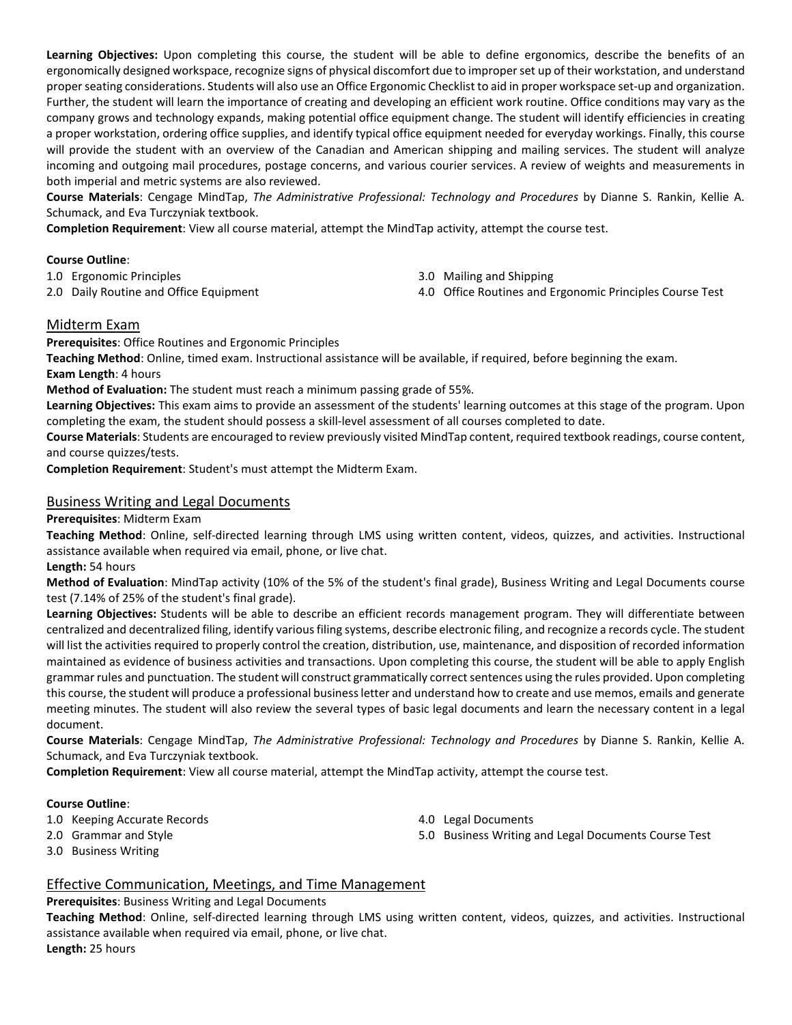**Learning Objectives:** Upon completing this course, the student will be able to define ergonomics, describe the benefits of an ergonomically designed workspace, recognize signs of physical discomfort due to improper set up of their workstation, and understand proper seating considerations. Students will also use an Office Ergonomic Checklist to aid in proper workspace set-up and organization. Further, the student will learn the importance of creating and developing an efficient work routine. Office conditions may vary as the company grows and technology expands, making potential office equipment change. The student will identify efficiencies in creating a proper workstation, ordering office supplies, and identify typical office equipment needed for everyday workings. Finally, this course will provide the student with an overview of the Canadian and American shipping and mailing services. The student will analyze incoming and outgoing mail procedures, postage concerns, and various courier services. A review of weights and measurements in both imperial and metric systems are also reviewed.

**Course Materials**: Cengage MindTap, *The Administrative Professional: Technology and Procedures* by Dianne S. Rankin, Kellie A. Schumack, and Eva Turczyniak textbook.

**Completion Requirement**: View all course material, attempt the MindTap activity, attempt the course test.

#### **Course Outline**:

1.0 Ergonomic Principles

2.0 Daily Routine and Office Equipment

- 3.0 Mailing and Shipping
- 4.0 Office Routines and Ergonomic Principles Course Test

#### Midterm Exam

**Prerequisites**: Office Routines and Ergonomic Principles

**Teaching Method**: Online, timed exam. Instructional assistance will be available, if required, before beginning the exam. **Exam Length**: 4 hours

**Method of Evaluation:** The student must reach a minimum passing grade of 55%.

**Learning Objectives:** This exam aims to provide an assessment of the students' learning outcomes at this stage of the program. Upon completing the exam, the student should possess a skill-level assessment of all courses completed to date.

**Course Materials**: Students are encouraged to review previously visited MindTap content,required textbook readings, course content, and course quizzes/tests.

**Completion Requirement**: Student's must attempt the Midterm Exam.

#### Business Writing and Legal Documents

**Prerequisites**: Midterm Exam

**Teaching Method**: Online, self-directed learning through LMS using written content, videos, quizzes, and activities. Instructional assistance available when required via email, phone, or live chat.

**Length:** 54 hours

**Method of Evaluation**: MindTap activity (10% of the 5% of the student's final grade), Business Writing and Legal Documents course test (7.14% of 25% of the student's final grade).

**Learning Objectives:** Students will be able to describe an efficient records management program. They will differentiate between centralized and decentralized filing, identify various filing systems, describe electronic filing, and recognize a records cycle. The student will list the activities required to properly control the creation, distribution, use, maintenance, and disposition of recorded information maintained as evidence of business activities and transactions. Upon completing this course, the student will be able to apply English grammar rules and punctuation. The student will construct grammatically correct sentences using the rules provided. Upon completing this course, the student will produce a professional business letter and understand how to create and use memos, emails and generate meeting minutes. The student will also review the several types of basic legal documents and learn the necessary content in a legal document.

**Course Materials**: Cengage MindTap, *The Administrative Professional: Technology and Procedures* by Dianne S. Rankin, Kellie A. Schumack, and Eva Turczyniak textbook.

**Completion Requirement**: View all course material, attempt the MindTap activity, attempt the course test.

#### **Course Outline**:

- 1.0 Keeping Accurate Records
- 2.0 Grammar and Style
- 3.0 Business Writing
- 4.0 Legal Documents
- 5.0 Business Writing and Legal Documents Course Test

#### Effective Communication, Meetings, and Time Management

**Prerequisites**: Business Writing and Legal Documents

**Teaching Method**: Online, self-directed learning through LMS using written content, videos, quizzes, and activities. Instructional assistance available when required via email, phone, or live chat.

**Length:** 25 hours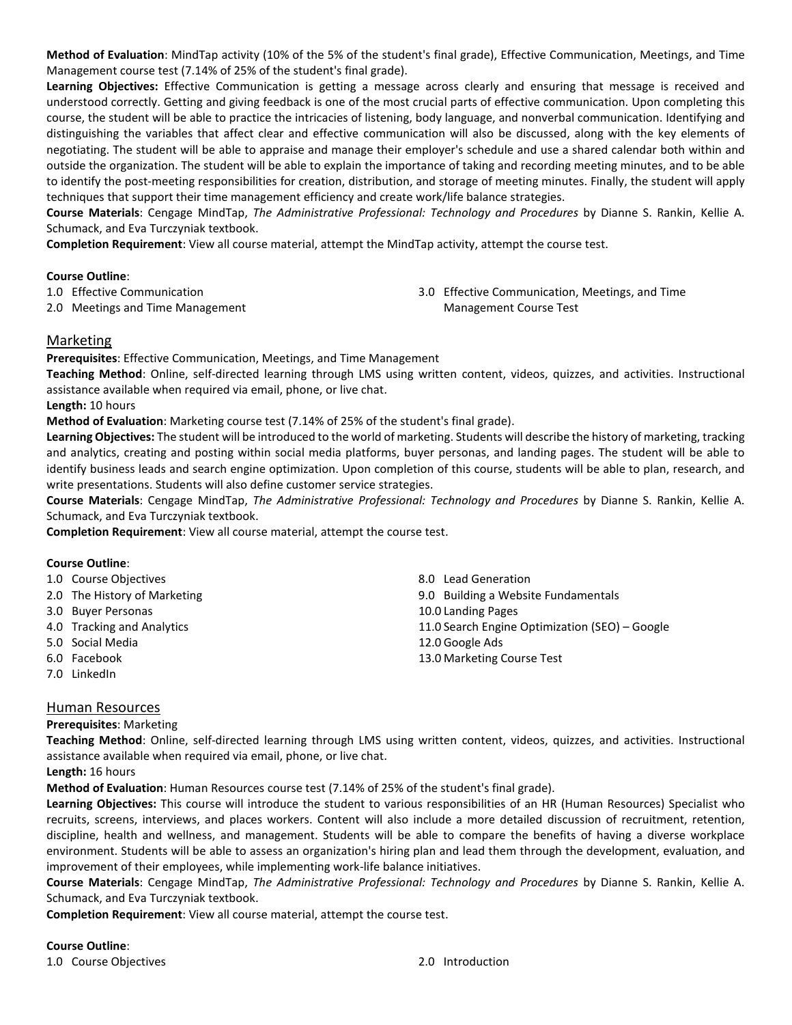**Method of Evaluation**: MindTap activity (10% of the 5% of the student's final grade), Effective Communication, Meetings, and Time Management course test (7.14% of 25% of the student's final grade).

**Learning Objectives:** Effective Communication is getting a message across clearly and ensuring that message is received and understood correctly. Getting and giving feedback is one of the most crucial parts of effective communication. Upon completing this course, the student will be able to practice the intricacies of listening, body language, and nonverbal communication. Identifying and distinguishing the variables that affect clear and effective communication will also be discussed, along with the key elements of negotiating. The student will be able to appraise and manage their employer's schedule and use a shared calendar both within and outside the organization. The student will be able to explain the importance of taking and recording meeting minutes, and to be able to identify the post-meeting responsibilities for creation, distribution, and storage of meeting minutes. Finally, the student will apply techniques that support their time management efficiency and create work/life balance strategies.

**Course Materials**: Cengage MindTap, *The Administrative Professional: Technology and Procedures* by Dianne S. Rankin, Kellie A. Schumack, and Eva Turczyniak textbook.

**Completion Requirement**: View all course material, attempt the MindTap activity, attempt the course test.

#### **Course Outline**:

1.0 Effective Communication

2.0 Meetings and Time Management

3.0 Effective Communication, Meetings, and Time Management Course Test

#### Marketing

**Prerequisites**: Effective Communication, Meetings, and Time Management

**Teaching Method**: Online, self-directed learning through LMS using written content, videos, quizzes, and activities. Instructional assistance available when required via email, phone, or live chat.

**Length:** 10 hours

**Method of Evaluation**: Marketing course test (7.14% of 25% of the student's final grade).

**Learning Objectives:** The student will be introduced to the world of marketing. Students will describe the history of marketing, tracking and analytics, creating and posting within social media platforms, buyer personas, and landing pages. The student will be able to identify business leads and search engine optimization. Upon completion of this course, students will be able to plan, research, and write presentations. Students will also define customer service strategies.

**Course Materials**: Cengage MindTap, *The Administrative Professional: Technology and Procedures* by Dianne S. Rankin, Kellie A. Schumack, and Eva Turczyniak textbook.

**Completion Requirement**: View all course material, attempt the course test.

#### **Course Outline**:

|              | 1.0 Course Objectives        | 8.0 Lead Generation                            |
|--------------|------------------------------|------------------------------------------------|
|              |                              |                                                |
|              | 2.0 The History of Marketing | 9.0 Building a Website Fundamentals            |
|              | 3.0 Buyer Personas           | 10.0 Landing Pages                             |
|              | 4.0 Tracking and Analytics   | 11.0 Search Engine Optimization (SEO) – Google |
|              | 5.0 Social Media             | 12.0 Google Ads                                |
|              | 6.0 Facebook                 | 13.0 Marketing Course Test                     |
| 7.0 LinkedIn |                              |                                                |

#### Human Resources

#### **Prerequisites**: Marketing

**Teaching Method**: Online, self-directed learning through LMS using written content, videos, quizzes, and activities. Instructional assistance available when required via email, phone, or live chat.

**Length:** 16 hours

**Method of Evaluation**: Human Resources course test (7.14% of 25% of the student's final grade).

**Learning Objectives:** This course will introduce the student to various responsibilities of an HR (Human Resources) Specialist who recruits, screens, interviews, and places workers. Content will also include a more detailed discussion of recruitment, retention, discipline, health and wellness, and management. Students will be able to compare the benefits of having a diverse workplace environment. Students will be able to assess an organization's hiring plan and lead them through the development, evaluation, and improvement of their employees, while implementing work-life balance initiatives.

**Course Materials**: Cengage MindTap, *The Administrative Professional: Technology and Procedures* by Dianne S. Rankin, Kellie A. Schumack, and Eva Turczyniak textbook.

**Completion Requirement**: View all course material, attempt the course test.

#### **Course Outline**:

1.0 Course Objectives 2.0 Introduction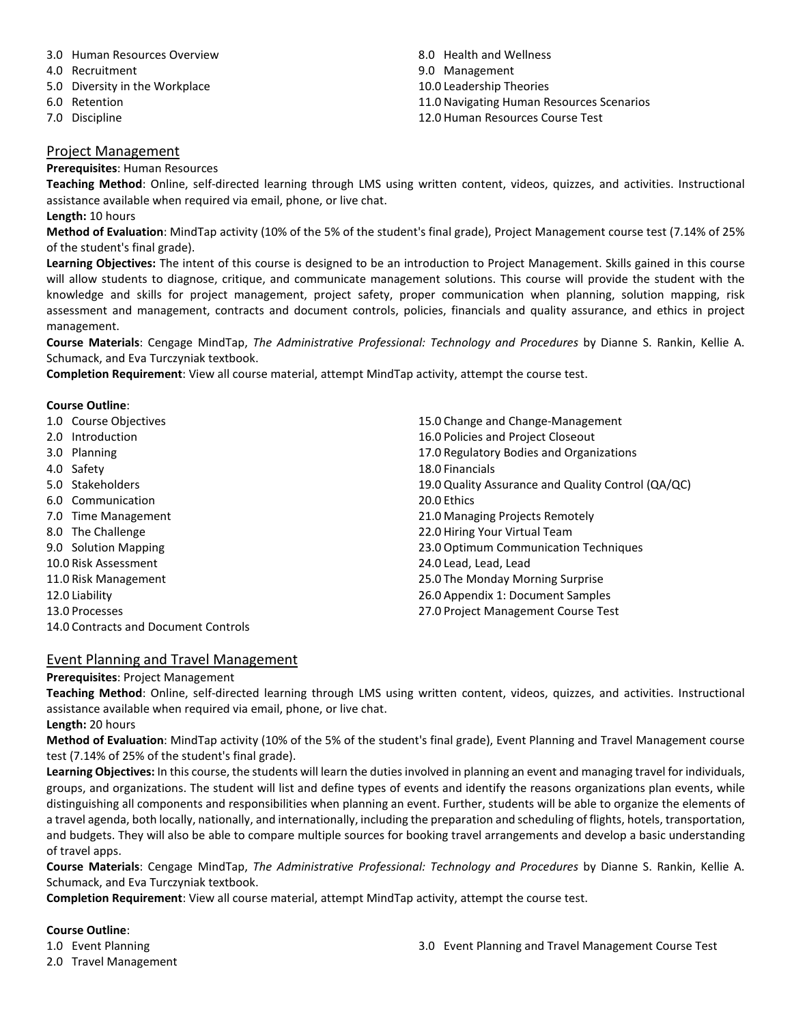#### 3.0 Human Resources Overview

- 4.0 Recruitment
- 5.0 Diversity in the Workplace
- 6.0 Retention
- 7.0 Discipline

### 8.0 Health and Wellness 9.0 Management 10.0 Leadership Theories 11.0 Navigating Human Resources Scenarios 12.0 Human Resources Course Test

#### Project Management

#### **Prerequisites**: Human Resources

**Teaching Method**: Online, self-directed learning through LMS using written content, videos, quizzes, and activities. Instructional assistance available when required via email, phone, or live chat.

#### **Length:** 10 hours

**Method of Evaluation**: MindTap activity (10% of the 5% of the student's final grade), Project Management course test (7.14% of 25% of the student's final grade).

**Learning Objectives:** The intent of this course is designed to be an introduction to Project Management. Skills gained in this course will allow students to diagnose, critique, and communicate management solutions. This course will provide the student with the knowledge and skills for project management, project safety, proper communication when planning, solution mapping, risk assessment and management, contracts and document controls, policies, financials and quality assurance, and ethics in project management.

**Course Materials**: Cengage MindTap, *The Administrative Professional: Technology and Procedures* by Dianne S. Rankin, Kellie A. Schumack, and Eva Turczyniak textbook.

**Completion Requirement**: View all course material, attempt MindTap activity, attempt the course test.

#### **Course Outline**:

| 1.0 Course Objectives | 15.0 Change and Change-Management                  |
|-----------------------|----------------------------------------------------|
| 2.0 Introduction      | 16.0 Policies and Project Closeout                 |
| 3.0 Planning          | 17.0 Regulatory Bodies and Organizations           |
| 4.0 Safety            | 18.0 Financials                                    |
| 5.0 Stakeholders      | 19.0 Quality Assurance and Quality Control (QA/QC) |
| 6.0 Communication     | 20.0 Ethics                                        |
| 7.0 Time Management   | 21.0 Managing Projects Remotely                    |
| 8.0 The Challenge     | 22.0 Hiring Your Virtual Team                      |
| 9.0 Solution Mapping  | 23.0 Optimum Communication Techniques              |
| 10.0 Risk Assessment  | 24.0 Lead, Lead, Lead                              |
| 11.0 Risk Management  | 25.0 The Monday Morning Surprise                   |
| 12.0 Liability        | 26.0 Appendix 1: Document Samples                  |
| 13.0 Processes        | 27.0 Project Management Course Test                |

14.0 Contracts and Document Controls

#### Event Planning and Travel Management

#### **Prerequisites**: Project Management

**Teaching Method**: Online, self-directed learning through LMS using written content, videos, quizzes, and activities. Instructional assistance available when required via email, phone, or live chat.

**Length:** 20 hours

**Method of Evaluation**: MindTap activity (10% of the 5% of the student's final grade), Event Planning and Travel Management course test (7.14% of 25% of the student's final grade).

**Learning Objectives:** In this course, the students will learn the duties involved in planning an event and managing travel for individuals, groups, and organizations. The student will list and define types of events and identify the reasons organizations plan events, while distinguishing all components and responsibilities when planning an event. Further, students will be able to organize the elements of a travel agenda, both locally, nationally, and internationally, including the preparation and scheduling of flights, hotels, transportation, and budgets. They will also be able to compare multiple sources for booking travel arrangements and develop a basic understanding of travel apps.

**Course Materials**: Cengage MindTap, *The Administrative Professional: Technology and Procedures* by Dianne S. Rankin, Kellie A. Schumack, and Eva Turczyniak textbook.

**Completion Requirement**: View all course material, attempt MindTap activity, attempt the course test.

#### **Course Outline**:

1.0 Event Planning

2.0 Travel Management

3.0 Event Planning and Travel Management Course Test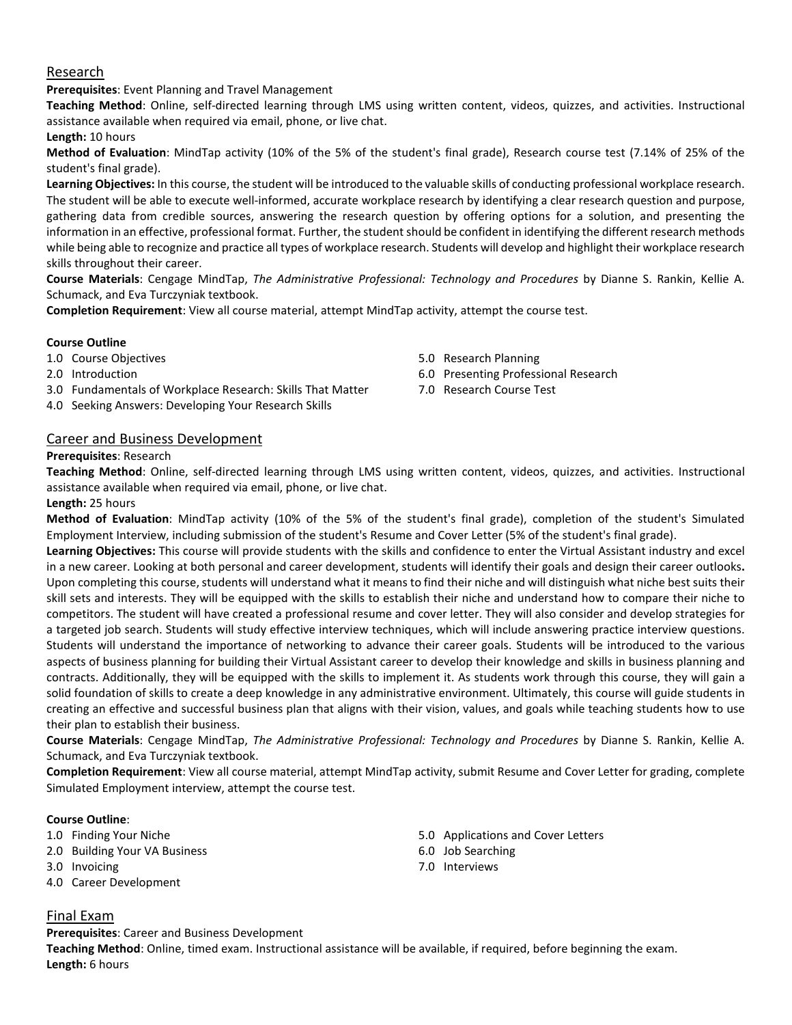#### Research

**Prerequisites**: Event Planning and Travel Management

**Teaching Method**: Online, self-directed learning through LMS using written content, videos, quizzes, and activities. Instructional assistance available when required via email, phone, or live chat.

**Length:** 10 hours

**Method of Evaluation**: MindTap activity (10% of the 5% of the student's final grade), Research course test (7.14% of 25% of the student's final grade).

**Learning Objectives:** In this course, the student will be introduced to the valuable skills of conducting professional workplace research. The student will be able to execute well-informed, accurate workplace research by identifying a clear research question and purpose, gathering data from credible sources, answering the research question by offering options for a solution, and presenting the information in an effective, professional format. Further, the student should be confident in identifying the different research methods while being able to recognize and practice all types of workplace research. Students will develop and highlight their workplace research skills throughout their career.

**Course Materials**: Cengage MindTap, *The Administrative Professional: Technology and Procedures* by Dianne S. Rankin, Kellie A. Schumack, and Eva Turczyniak textbook.

**Completion Requirement**: View all course material, attempt MindTap activity, attempt the course test.

#### **Course Outline**

1.0 Course Objectives

- 2.0 Introduction
- 3.0 Fundamentals of Workplace Research: Skills That Matter
- 4.0 Seeking Answers: Developing Your Research Skills
- 5.0 Research Planning 6.0 Presenting Professional Research
- 7.0 Research Course Test

#### Career and Business Development

#### **Prerequisites**: Research

**Teaching Method**: Online, self-directed learning through LMS using written content, videos, quizzes, and activities. Instructional assistance available when required via email, phone, or live chat.

#### **Length:** 25 hours

**Method of Evaluation**: MindTap activity (10% of the 5% of the student's final grade), completion of the student's Simulated Employment Interview, including submission of the student's Resume and Cover Letter (5% of the student's final grade).

**Learning Objectives:** This course will provide students with the skills and confidence to enter the Virtual Assistant industry and excel in a new career. Looking at both personal and career development, students will identify their goals and design their career outlooks**.** Upon completing this course, students will understand what it means to find their niche and will distinguish what niche best suits their skill sets and interests. They will be equipped with the skills to establish their niche and understand how to compare their niche to competitors. The student will have created a professional resume and cover letter. They will also consider and develop strategies for a targeted job search. Students will study effective interview techniques, which will include answering practice interview questions. Students will understand the importance of networking to advance their career goals. Students will be introduced to the various aspects of business planning for building their Virtual Assistant career to develop their knowledge and skills in business planning and contracts. Additionally, they will be equipped with the skills to implement it. As students work through this course, they will gain a solid foundation of skills to create a deep knowledge in any administrative environment. Ultimately, this course will guide students in creating an effective and successful business plan that aligns with their vision, values, and goals while teaching students how to use their plan to establish their business.

**Course Materials**: Cengage MindTap, *The Administrative Professional: Technology and Procedures* by Dianne S. Rankin, Kellie A. Schumack, and Eva Turczyniak textbook.

**Completion Requirement**: View all course material, attempt MindTap activity, submit Resume and Cover Letter for grading, complete Simulated Employment interview, attempt the course test.

#### **Course Outline**:

- 1.0 Finding Your Niche
- 2.0 Building Your VA Business
- 3.0 Invoicing
- 4.0 Career Development
- 5.0 Applications and Cover Letters
- 6.0 Job Searching
- 7.0 Interviews

#### Final Exam

**Prerequisites**: Career and Business Development

**Teaching Method**: Online, timed exam. Instructional assistance will be available, if required, before beginning the exam. **Length:** 6 hours